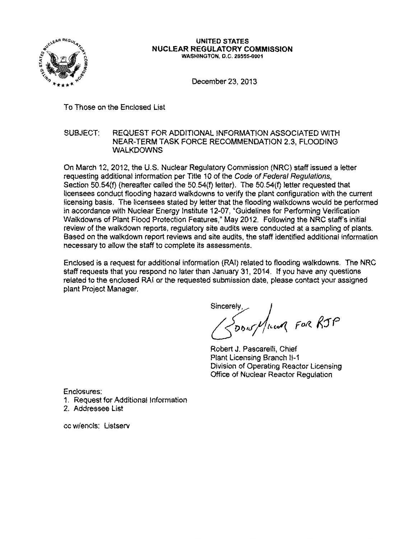

#### UNITED STATES NUCLEAR REGULATORY COMMISSION WASHINGTON, D.C. 20555-0001

December 23, 2013

To Those on the Enclosed List

# SUBJECT: REQUEST FOR ADDITIONAL INFORMATION ASSOCIATED WITH NEAR-TERM TASK FORCE RECOMMENDATION 2.3, FLOODING WALKDOWNS

On March 12, 2012, the U.S. Nuclear Regulatory Commission (NRC) staff issued a letter requesting additional information per Title 10 of the Code of Federal Regulations, Section 50.54(f) (hereafter called the 50.54(f) letter). The 50.54(f) letter requested that licensees conduct flooding hazard walkdowns to verify the plant configuration with the current licensing basis. The licensees stated by letter that the flooding walkdowns would be performed in accordance with Nuclear Energy Institute 12-07, "Guidelines for Performing Verification Walkdowns of Plant Flood Protection Features," May 2012. Following the NRC staff's initial review of the walkdown reports, regulatory site audits were conducted at a sampling of plants. Based on the walkdown report reviews and site audits, the staff identified additional information necessary to allow the staff to complete its assessments.

Enclosed is a request for additional information (RAI) related to flooding walkdowns. The NRC staff requests that you respond no later than January 31, 2014. If you have any questions related to the enclosed RAI or the requested submission date, please contact your assigned plant Project Manager.

Sincerely,<br>*/ < DDus//Incom* FOR RJP

Robert J. Pascarelli, Chief Plant Licensing Branch 11-1 Division of Operating Reactor Licensing Office of Nuclear Reactor Regulation

Enclosures:

- 1. Request for Additional Information
- 2. Addressee List

cc w/encls: Listserv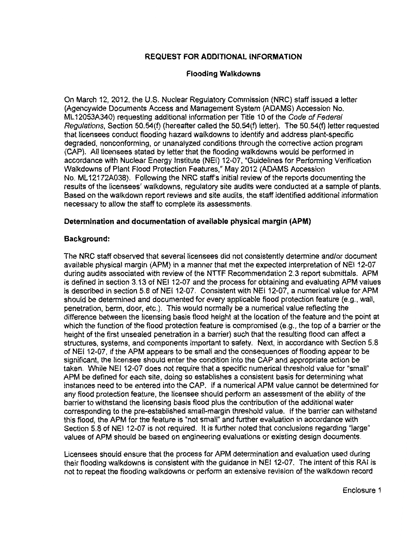# **REQUEST FOR ADDITIONAL INFORMATION**

## **Flooding Walkdowns**

On March 12, 2012, the U.S. Nuclear Regulatory Commission (NRC) staff issued a letter (Agencywide Documents Access and Management System (ADAMS) Accession No. ML12053A340) requesting additional information per Title 10 of the Code of Federal Regulations, Section 50.54(f) (hereafter called the 50.54(f) letter). The 50.54(f) letter requested that licensees conduct flooding hazard walkdowns to identify and address plant-specific degraded, nonconforming, or unanalyzed conditions through the corrective action program (CAP). All licensees stated by letter that the flooding walkdowns would be performed in accordance with Nuclear Energy Institute (NEI) 12-07, "Guidelines for Performing Verification Walkdowns of Plant Flood Protection Features," May 2012 (ADAMS Accession No. ML 12172A038). Following the NRC staff's initial review of the reports documenting the results of the licensees' walkdowns, regulatory site audits were conducted at a sample of plants. Based on the walkdown report reviews and site audits, the staff identified additional information necessary to allow the staff to complete its assessments.

## **Determination and documentation of available physical margin (APM)**

## **Background:**

The NRC staff observed that several licensees did not consistently determine and/or document available physical margin (APM) in a manner that met the expected interpretation of NEI 12-07 during audits associated with review of the NTTF Recommendation 2.3 report submittals. APM is defined in section 3.13 of NEI 12-07 and the process for obtaining and evaluating APM values is described in section 5.8 of NEI 12-07. Consistent with NEI 12-07, a numerical value for APM should be determined and documented for every applicable flood protection feature (e.g., wall, penetration, berm, door, etc.). This would normally be a numerical value reflecting the difference between the licensing basis flood height at the location of the feature and the point at which the function of the flood protection feature is compromised (e.g., the top of a barrier or the height of the first unsealed penetration in a barrier) such that the resulting flood can affect a structures, systems, and components important to safety. Next, in accordance with Section 5.8 of NEI12-07, if the APM appears to be small and the consequences of flooding appear to be significant, the licensee should enter the condition into the CAP and appropriate action be taken. While NEI 12-07 does not require that a specific numerical threshold value for "small" APM be defined for each site, doing so establishes a consistent basis for determining what instances need to be entered into the CAP. If a numerical APM value cannot be determined for any flood protection feature, the licensee should perform an assessment of the ability of the barrier to withstand the licensing basis flood plus the contribution of the additional water corresponding to the pre-established small-margin threshold value. If the barrier can withstand this flood, the APM for the feature is "not small" and further evaluation in accordance with Section 5.8 of NEI 12-07 is not required. It is further noted that conclusions regarding "large" values of APM should be based on engineering evaluations or existing design documents.

Licensees should ensure that the process for APM determination and evaluation used during their flooding walkdowns is consistent with the guidance in NEI 12-07. The intent of this RAI is not to repeat the flooding walkdowns or perform an extensive revision of the walkdown record

Enclosure 1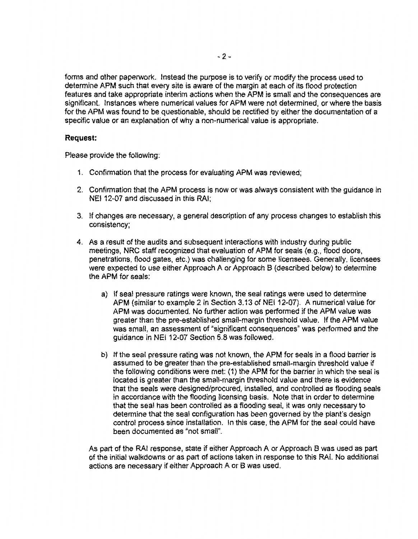forms and other paperwork. Instead the purpose is to verify or modify the process used to determine APM such that every site is aware of the margin at each of its flood protection features and take appropriate interim actions when the APM is small and the consequences are significant. Instances where numerical values for APM were not determined, or where the basis for the APM was found to be questionable, should be rectified by either the documentation of a specific value or an explanation of why a non-numerical value is appropriate.

#### **Request:**

Please provide the following:

- 1. Confirmation that the process for evaluating APM was reviewed;
- 2. Confirmation that the APM process is now or was always consistent with the guidance in NEI 12-07 and discussed in this RAI;
- 3. If changes are necessary, a general description of any process changes to establish this consistency;
- 4. As a result of the audits and subsequent interactions with industry during public meetings, NRC staff recognized that evaluation of APM for seals (e.g., flood doors, penetrations, flood gates, etc.) was challenging for some licensees. Generally, licensees were expected to use either Approach A or Approach B (described below) to determine the APM for seals:
	- a) If seal pressure ratings were known, the seal ratings were used to determine APM (similar to example 2 in Section 3.13 of NEI 12-07). A numerical value for APM was documented. No further action was performed if the APM value was greater than the pre-established small-margin threshold value. If the APM value was small, an assessment of "significant consequences" was performed and the guidance in NEI 12-07 Section 5.8 was followed.
	- b) If the seal pressure rating was not known, the APM for seals in a flood barrier is assumed to be greater than the pre-established small-margin threshold value if the following conditions were met: (1) the APM for the barrier in which the seal is located is greater than the small-margin threshold value and there is evidence that the seals were designed/procured, installed, and controlled as flooding seals in accordance with the flooding licensing basis. Note that in order to determine that the seal has been controlled as a flooding seal, it was only necessary to determine that the seal configuration has been governed by the plant's design control process since installation. In this case, the APM for the seal could have been documented as "not small".

As part of the RAI response, state if either Approach A or Approach B was used as part of the initial walkdowns or as part of actions taken in response to this RAI. No additional actions are necessary if either Approach A or B was used.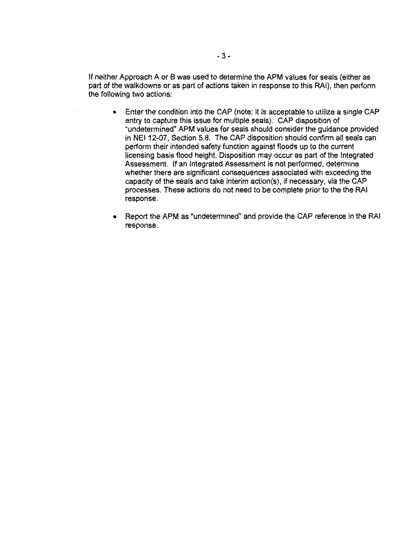If neither Approach A or B was used to determine the APM values for seals (either as part of the walkdowns or as part of actions taken in response to this RAI), then perform the following two actions:

- Enter the condition into the CAP (note: it is acceptable to utilize a single CAP entry to capture this issue for multiple seals). CAP disposition of "undetermined" APM values for seals should consider the guidance provided in NEI 12-07, Section 5.8. The CAP disposition should confirm all seals can perform their intended safety function against floods up to the current licensing basis flood height. Disposition may occur as part of the Integrated Assessment. If an Integrated Assessment is not performed, determine whether there are significant consequences associated with exceeding the capacity of the seals and take interim action(s), if necessary, via the CAP processes. These actions do not need to be complete prior to the the RAI response.
- Report the APM as "undetermined" and provide the CAP reference in the RAI response.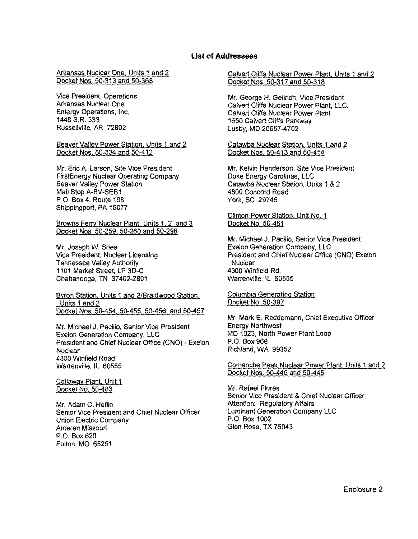#### **List of Addressees**

Arkansas Nuclear One. Units 1 and 2 Docket Nos. 50-313 and 50-368

Vice President, Operations Arkansas Nuclear One Entergy Operations, Inc. 1448 S.R. 333 Russellville, AR 72802

Beaver Valley Power Station. Units 1 and 2 Docket Nos. 50-334 and 50-412

Mr. Eric A. Larson, Site Vice President FirstEnergy Nuclear Operating Company Beaver Valley Power Station Mail Stop A-BV-SEB1 P.O. Box 4, Route 168 Shippingport, PA 15077

Browns Ferry Nuclear Plant. Units 1. 2. and 3 Docket Nos. 50-259. 50-260 and 50-296

Mr. Joseph W. Shea Vice President, Nuclear Licensing Tennessee Valley Authority 1101 Market Street, LP 3D-C Chattanooga, TN 37402-2801

Byron Station. Units 1 and 2/Braidwood Station. Units 1 and 2 Docket Nos. 50-454, 50-455. 50-456. and 50-457

Mr. Michael J. Pacilio, Senior Vice President Exelon Generation Company, LLC President and Chief Nuclear Office (CNO) - Exelon Nuclear 4300 Winfield Road Warrenville, IL 60555

Callaway Plant, Unit 1 Docket No. 50-483

Mr. Adam C. Heflin Senior Vice President and Chief Nuclear Officer Union Electric Company Ameren Missouri P.O. Box620 Fulton, MO 65251

Calvert Cliffs Nuclear Power Plant, Units 1 and 2 Docket Nos. 50-317 and 50-318

Mr. George H. Gellrich, Vice President Calvert Cliffs Nuclear Power Plant, LLC. Calvert Cliffs Nuclear Power Plant 1650 Calvert Cliffs Parkway Lusby, MD 20657-4702

Catawba Nuclear Station. Units 1 and 2 Docket Nos. 50-413 and 50-414

Mr. Kelvin Henderson, Site Vice President Duke Energy Carolinas, LLC Catawba Nuclear Station, Units 1 & 2 4800 Concord Road York, SC 29745

Clinton Power Station, Unit No. 1 Docket No. 50-461

Mr. Michael J. Pacilio, Senior Vice President Exelon Generation Company, LLC President and Chief Nuclear Office (CNO) Exelon **Nuclear** 4300 Winfield Rd. Warrenville, IL 60555

Columbia Generating Station Docket No. 50-397

Mr. Mark E. Reddemann, Chief Executive Officer Energy Northwest MD 1023, North Power Plant Loop P.O. Box 968 Richland, WA 99352

Comanche Peak Nuclear Power Plant, Units 1 and 2 Docket Nos. 50-445 and 50-445

Mr. Rafael Flores Senior Vice President & Chief Nuclear Officer Attention: Regulatory Affairs Luminant Generation Company LLC P.O. Box 1002 Glen Rose, TX 76043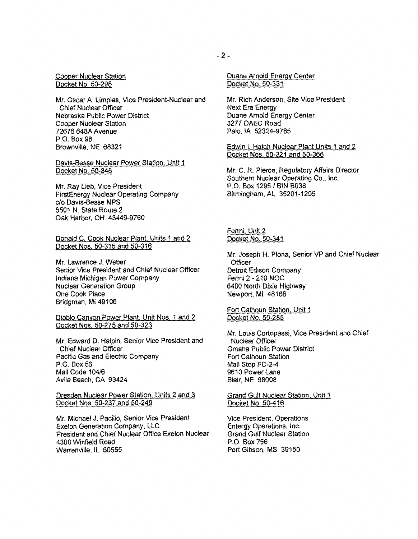Cooper Nuclear Station Docket No. 50-298

Mr. Oscar A. Limpias, Vice President-Nuclear and Chief Nuclear Officer Nebraska Public Power District Cooper Nuclear Station 72676 648A Avenue P.O. Box 98 Brownville, NE 68321

Davis-Besse Nuclear Power Station, Unit 1 Docket No. 50-346

Mr. Ray Lieb, Vice President FirstEnergy Nuclear Operating Company c/o Davis-Besse NPS 5501 N. State Route 2 Oak Harbor, OH 43449-9760

Donald C. Cook Nuclear Plant, Units 1 and 2 Docket Nos. 50-315 and 50-316

Mr. Lawrence J. Weber Senior Vice President and Chief Nuclear Officer Indiana Michigan Power Company Nuclear Generation Group One Cook Place Bridgman, Ml 49106

Diablo Canyon Power Plant. Unit Nos. 1 and 2 Docket Nos. 50-275 and 50-323

Mr. Edward D. Halpin, Senior Vice President and Chief Nuclear Officer Pacific Gas and Electric Company P.O. Box 56 Mail Code 104/6 Avila Beach, CA 93424

Dresden Nuclear Power Station, Units 2 and 3 Docket Nos. 50-237 and 50-249

Mr. Michael J. Pacilio, Senior Vice President Exelon Generation Company, LLC President and Chief Nuclear Office Exelon Nuclear 4300 Winfield Road Warrenville, IL 60555

Duane Arnold Energy Center Docket No. 50-331

Mr. Rich Anderson, Site Vice President Next Era Energy Duane Arnold Energy Center 3277 DAEC Road Palo, lA 52324-9785

Edwin I. Hatch Nuclear Plant Units 1 and 2 Docket Nos. 50-321 and 50-366

Mr. C. R. Pierce, Regulatory Affairs Director Southern Nuclear Operating Co., Inc. P.O. Box 1295 / BIN B038 Birmingham, AL 35201-1295

Fermi. Unit 2 Docket No. 50-341

Mr. Joseph H. Plona, Senior VP and Chief Nuclear **Officer** Detroit Edison Company Fermi 2-210 NOC 6400 North Dixie Highway Newport, Ml 48166

Fort Calhoun Station, Unit 1 Docket No. 50-285

Mr. Louis Cortopassi, Vice President and Chief Nuclear Officer Omaha Public Power District Fort Calhoun Station Mail Stop FC-2-4 9610 Power Lane Blair, NE 68008

Grand Gulf Nuclear Station, Unit 1 Docket No. 50-416

Vice President, Operations Entergy Operations, Inc. Grand Gulf Nuclear Station P.O. Box 756 Port Gibson, MS 39150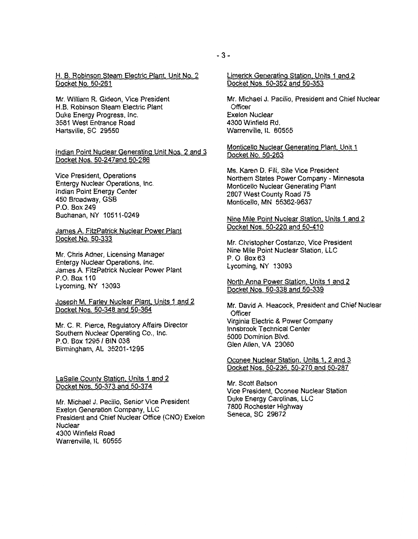H. B. Robinson Steam Electric Plant. Unit No.2 Docket No. 50-261

Mr. William R. Gideon, Vice President H.B. Robinson Steam Electric Plant Duke Energy Progress, Inc. 3581 West Entrance Road Hartsville, SC 29550

Indian Point Nuclear Generating Unit Nos. 2 and 3 Docket Nos. 50-247and 50-286

Vice President, Operations Entergy Nuclear Operations, Inc. Indian Point Energy Center 450 Broadway, GSB P.O. Box 249 Buchanan, NY 10511-0249

James A. FitzPatrick Nuclear Power Plant Docket No. 50-333

Mr. Chris Adner, Licensing Manager Entergy Nuclear Operations, Inc. James A FitzPatrick Nuclear Power Plant P.O. Box 110 Lycoming, NY 13093

Joseph M. Farley Nuclear Plant, Units 1 and 2 Docket Nos. 50-348 and 50-364

Mr. C. R. Pierce, Regulatory Affairs Director Southern Nuclear Operating Co., Inc. P.O. Box 1295/ BIN 038 Birmingham, AL 35201-1295

LaSalle County Station, Units 1 and 2 Docket Nos. 50-373 and 50-374

Mr. Michael J. Pacilio, Senior Vice President Exelon Generation Company, LLC President and Chief Nuclear Office (CNO) Exelon **Nuclear** 4300 Winfield Road Warrenville, IL 60555

Limerick Generating Station. Units 1 and 2 Docket Nos. 50-352 and 50-353

Mr. Michael J. Pacilio, President and Chief Nuclear **Officer** Exelon Nuclear 4300 Winfield Rd. Warrenville, IL 60555

Monticello Nuclear Generating Plant. Unit 1 Docket No. 50-263

Ms. Karen D. Fili, Site Vice President Northern States Power Company - Minnesota Monticello Nuclear Generating Plant 2807 West County Road 75 Monticello, MN 55362-9637

Nine Mile Point Nuclear Station, Units 1 and 2 Docket Nos. 50-220 and 50-410

Mr. Christopher Costanzo, Vice President Nine Mile Point Nuclear Station, LLC P. 0. Box 63 ' Lycoming, NY 13093

North Anna Power Station, Units 1 and 2 Docket Nos. 50-338 and 50-339

Mr. David A. Heacock, President and Chief Nuclear **Officer** Virginia Electric & Power Company lnnsbrook Technical Center 5000 Dominion Blvd. Glen Allen, VA 23060

Oconee Nuclear Station. Units 1, 2 and 3 Docket Nos. 50-236, 50-270 and 50-287

Mr. Scott Batson Vice President, Oconee Nuclear Station Duke Energy Carolinas, LLC 7800 Rochester Highway Seneca, SC 29672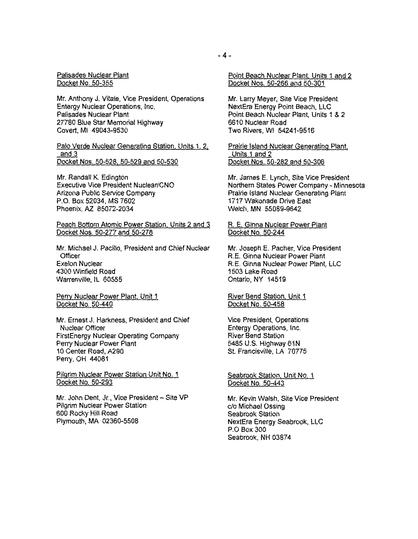Palisades Nuclear Plant Docket No. 50-355

Mr. Anthony J. Vitale, Vice President, Operations Entergy Nuclear Operations, Inc. Palisades Nuclear Plant 27780 Blue Star Memorial Highway Covert, Ml 49043-9530

Palo Verde Nuclear Generating Station, Units 1, 2, and 3 Docket Nos. 50-528, 50-529 and 50-530

Mr. Randall K. Edington Executive Vice President Nuclear/CNO Arizona Public Service Company P.O. Box 52034, MS 7602 Phoenix, AZ 85072-2034

Peach Bottom Atomic Power Station, Units 2 and 3 Docket Nos. 50-277 and 50-278

Mr. Michael J. Pacilio, President and Chief Nuclear **Officer** Exelon Nuclear 4300 Winfield Road Warrenville, IL 60555

Perry Nuclear Power Plant. Unit 1 Docket No. 50-440

Mr. Ernest J. Harkness, President and Chief Nuclear Officer FirstEnergy Nuclear Operating Company Perry Nuclear Power Plant 10 Center Road, A290 Perry, OH 44081

Pilgrim Nuclear Power Station Unit No. 1 Docket No. 50-293

Mr. John Dent, Jr., Vice President - Site VP Pilgrim Nuclear Power Station 600 Rocky Hill Road Plymouth, MA 02360-5508

Mr. Larry Meyer, Site Vice President NextEra Energy Point Beach, LLC Point Beach Nuclear Plant, Units 1 & 2 6610 Nuclear Road Two Rivers, WI 54241-9516

Prairie Island Nuclear Generating Plant, Units 1 and 2 Docket Nos. 50-282 and 50-306

Mr. James E. Lynch, Site Vice President Northern States Power Company - Minnesota Prairie Island Nuclear Generating Plant 1717 Wakonade Drive East Welch, MN 55089-9642

R. E. Ginna Nuclear Power Plant Docket No. 50-244

Mr. Joseph E. Pacher, Vice President R.E. Ginna Nuclear Power Plant R.E. Ginna Nuclear Power Plant, LLC 1503 Lake Road Ontario, NY 14519

River Bend Station. Unit 1 Docket No. 50-458

Vice President, Operations Entergy Operations, Inc. River Bend Station 5485 U.S. Highway 61N St. Francisville, LA 70775

Seabrook Station, Unit No. 1 Docket No. 50-443

Mr. Kevin Walsh, Site Vice President c/o Michael Ossing Seabrook Station NextEra Energy Seabrook, LLC P.O Box 300 Seabrook, NH 03874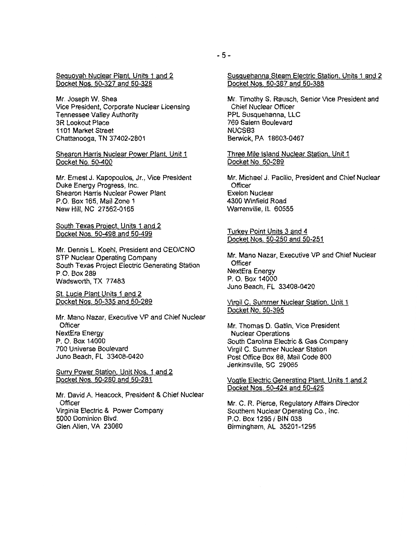Sequoyah Nuclear Plant, Units 1 and 2 Docket Nos. 50-327 and 50-328

Mr. Joseph W. Shea Vice President, Corporate Nuclear Licensing Tennessee Valley Authority 3R Lookout Place 1101 Market Street Chattanooga, TN 37 402-2801

Shearon Harris Nuclear Power Plant. Unit 1 Docket No. 50-400

Mr. Ernest J. Kapopoulos, Jr., Vice President Duke Energy Progress, Inc. Shearon Harris Nuclear Power Plant P.O. Box 165, Mail Zone 1 New Hill, NC 27562-0165

South Texas Project, Units 1 and 2 Docket Nos. 50-498 and 50-499

Mr. Dennis L. Koehl, President and CEO/CNO STP Nuclear Operating Company South Texas Project Electric Generating Station P.O. Box 289 Wadsworth, TX 77483

St. Lucie Plant Units 1 and 2 Docket Nos. 50-335 and 50-289

Mr. Mano Nazar, Executive VP and Chief Nuclear **Officer** NextEra Energy P. 0. Box 14000 700 Universe Boulevard Juno Beach, FL 33408-0420

Surry Power Station. Unit Nos. 1 and 2 Docket Nos. 50-280 and 50-281

Mr. David A. Heacock, President & Chief Nuclear **Officer** Virginia Electric & Power Company 5000 Dominion Blvd. Glen Allen, VA 23060

Susquehanna Steam Electric Station. Units 1 and 2 Docket Nos. 50-387 and 50-388

Mr. Timothy S. Rausch, Senior Vice President and Chief Nuclear Officer PPL Susquehanna, LLC 769 Salem Boulevard NUCSB3 Berwick, PA 18603-0467

Three Mile Island Nuclear Station. Unit 1 Docket No. 50-289

Mr. Michael J. Pacilio, President and Chief Nuclear **Officer** Exelon Nuclear 4300 Winfield Road Warrenville, IL 60555

Turkey Point Units 3 and 4 Docket Nos. 50-250 and 50-251

Mr. Mano Nazar, Executive VP and Chief Nuclear **Officer** NextEra Energy P. 0. Box 14000 Juno Beach, FL 33408-0420

Virgil C. Summer Nuclear Station. Unit 1 Docket No. 50-395

Mr. Thomas D. Gatlin, Vice President Nuclear Operations South Carolina Electric & Gas Company Virgil C. Summer Nuclear Station Post Office Box 88, Mail Code 800 Jenkinsville, SC 29065

Vogtle Electric Generating Plant. Units 1 and 2 Docket Nos. 50-424 and 50-425

Mr. C. R. Pierce, Regulatory Affairs Director Southern Nuclear Operating Co., Inc. P.O. Box 1295/ BIN 038 Birmingham, AL 35201-1295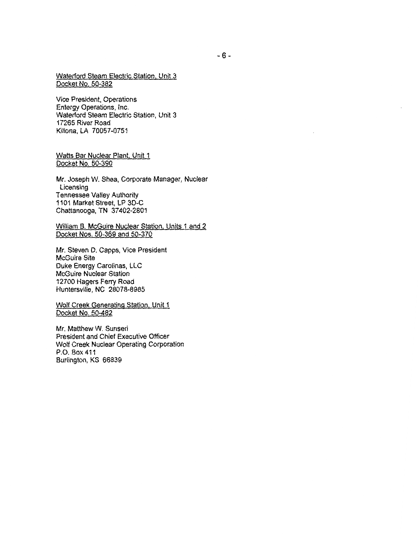Waterford Steam Electric Station. Unit 3 Docket No. 50-382

Vice President, Operations Entergy Operations, Inc. Waterford Steam Electric Station, Unit 3 17265 River Road Killona, LA 70057-0751

Watts Bar Nuclear Plant. Unit 1 Docket No. 50-390

Mr. Joseph W. Shea, Corporate Manager, Nuclear Licensing Tennessee Valley Authority 1101 Market Street, LP 3D-C Chattanooga, TN 37 402-2801

William B. McGuire Nuclear Station. Units 1 and 2 Docket Nos. 50-369 and 50-370

Mr. Steven D. Capps, Vice President McGuire Site Duke Energy Carolinas, LLC McGuire Nuclear Station 12700 Hagers Ferry Road Huntersville, NC 28078-8985

Wolf Creek Generating Station. Unit 1 Docket No. 50-482

Mr. Matthew W. Sunseri President and Chief Executive Officer Wolf Creek Nuclear Operating Corporation P.O. Box411 Burlington, KS 66839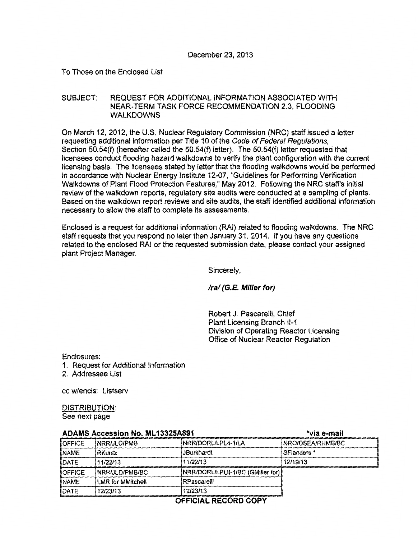To Those on the Enclosed List

# SUBJECT: REQUEST FOR ADDITIONAL INFORMATION ASSOCIATED WITH NEAR-TERM TASK FORCE RECOMMENDATION 2.3, FLOODING WALKDOWNS

On March 12, 2012, the U.S. Nuclear Regulatory Commission (NRC) staff issued a letter requesting additional information per Title 10 of the Code of Federal Regulations. Section 50.54(f) (hereafter called the 50.54(f) letter). The 50.54(f) letter requested that licensees conduct flooding hazard walkdowns to verify the plant configuration with the current licensing basis. The licensees stated by letter that the flooding walkdowns would be performed in accordance with Nuclear Energy Institute 12-07, "Guidelines for Performing Verification Walkdowns of Plant Flood Protection Features," May 2012. Following the NRC staffs initial review of the walkdown reports, regulatory site audits were conducted at a sampling of plants. Based on the walkdown report reviews and site audits, the staff identified additional information necessary to allow the staff to complete its assessments.

Enclosed is a request for additional information (RAI) related to flooding walkdowns. The NRC staff requests that you respond no later than January 31, 2014. If you have any questions related to the enclosed RAI or the requested submission date, please contact your assigned plant Project Manager.

Sincerely,

*Ira/* (G. E. Miller for)

Robert J. Pascarelli, Chief Plant Licensing Branch 11-1 Division of Operating Reactor Licensing Office of Nuclear Reactor Regulation

Enclosures:

- 1. Request for Additional Information
- 2. Addressee List

cc w/encls: Listserv

DISTRIBUTION: See next page

| ADAMS ACCESSION NO. ML13325A891 |                   |                                   | ≞via e-mali      |
|---------------------------------|-------------------|-----------------------------------|------------------|
| OFFICE                          | NRR/JLD/PMB       | NRR/DORL/LPL4-1/LA                | NRO/DSEA/RHMB/BC |
| NAME                            | RKuntz            | <b>JBurkhardt</b>                 | SFlanders *      |
| DATE                            | 11/22/13          | 11/22/13                          | 12/19/13         |
| OFFICE                          | NRR/JLD/PMB/BC    | NRR/DORL/LPLII-1/BC (GMiller for) |                  |
| <b>NAME</b>                     | LMR for MMitchell | RPascarelli                       |                  |
| DATE                            | 12/23/13          | 12/23/13                          |                  |

 $\mathbf{A}$ 

# OFFICIAL RECORD COPY